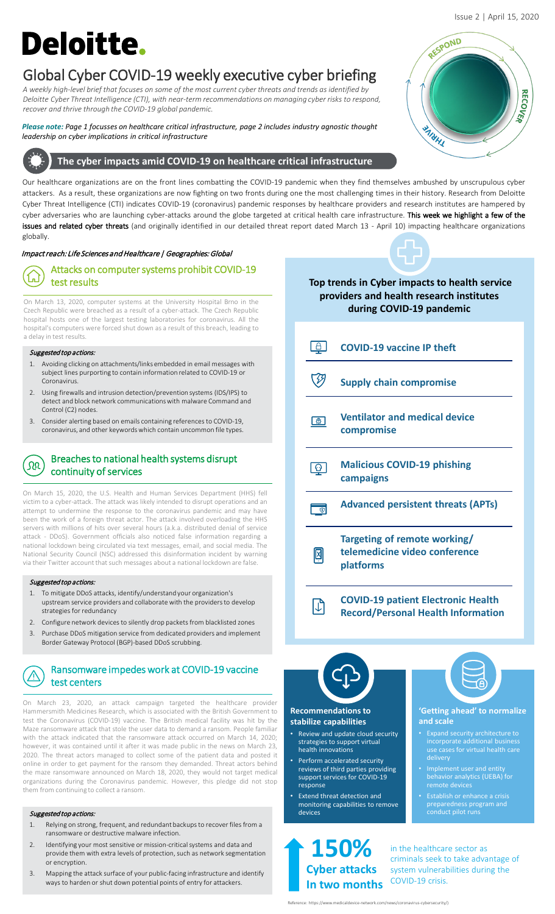# **Deloitte.**

## Global Cyber COVID-19 weekly executive cyber briefing

*A weekly high-level brief that focuses on some of the most current cyber threats and trends as identified by Deloitte Cyber Threat Intelligence (CTI), with near-term recommendations on managing cyber risks to respond, recover and thrive through the COVID-19 global pandemic.* 

## *Please note: Page 1 focusses on healthcare critical infrastructure, page 2 includes industry agnostic thought leadership on cyber implications in critical infrastructure*

## **The cyber impacts amid COVID-19 on healthcare critical infrastructure**

Our healthcare organizations are on the front lines combatting the COVID-19 pandemic when they find themselves ambushed by unscrupulous cyber attackers. As a result, these organizations are now fighting on two fronts during one the most challenging times in their history. Research from Deloitte Cyber Threat Intelligence (CTI) indicates COVID-19 (coronavirus) pandemic responses by healthcare providers and research institutes are hampered by cyber adversaries who are launching cyber-attacks around the globe targeted at critical health care infrastructure. This week we highlight a few of the issues and related cyber threats (and originally identified in our detailed threat report dated March 13 - April 10) impacting healthcare organizations globally.

## Impact reach: Life Sciences and Healthcare | Geographies: Global

#### Attacks on computer systems prohibit COVID-19  $\Gamma$ test results

On March 13, 2020, computer systems at the University Hospital Brno in the Czech Republic were breached as a result of a cyber-attack. The Czech Republic hospital hosts one of the largest testing laboratories for coronavirus. All the hospital's computers were forced shut down as a result of this breach, leading to a delay in test results.

## Suggested top actions:

- 1. Avoiding clicking on attachments/links embedded in email messages with subject lines purporting to contain information related to COVID-19 or Coronavirus.
- 2. Using firewalls and intrusion detection/prevention systems (IDS/IPS) to detect and block network communications with malware Command and Control (C2) nodes.
- 3. Consider alerting based on emails containing references to COVID-19, coronavirus, and other keywords which contain uncommon file types.

### Breaches to national health systems disrupt ΩQ continuity of services

On March 15, 2020, the U.S. Health and Human Services Department (HHS) fell victim to a cyber-attack. The attack was likely intended to disrupt operations and an attempt to undermine the response to the coronavirus pandemic and may have been the work of a foreign threat actor. The attack involved overloading the HHS servers with millions of hits over several hours (a.k.a. distributed denial of service attack - DDoS). Government officials also noticed false information regarding a national lockdown being circulated via text messages, email, and social media. The National Security Council (NSC) addressed this disinformation incident by warning via their Twitter account that such messages about a national lockdown are false.

## Suggested top actions:

- 1. To mitigate DDoS attacks, identify/understand your organization's upstream service providers and collaborate with the providers to develop strategies for redundancy
- 2. Configure network devices to silently drop packets from blacklisted zones
- 3. Purchase DDoS mitigation service from dedicated providers and implement Border Gateway Protocol (BGP)-based DDoS scrubbing.

### Ransomware impedes work at COVID-19 vaccine  $\bigwedge$ test centers

On March 23, 2020, an attack campaign targeted the healthcare provider Hammersmith Medicines Research, which is associated with the British Government to test the Coronavirus (COVID-19) vaccine. The British medical facility was hit by the Maze ransomware attack that stole the user data to demand a ransom. People familiar with the attack indicated that the ransomware attack occurred on March 14, 2020; however, it was contained until it after it was made public in the news on March 23, 2020. The threat actors managed to collect some of the patient data and posted it online in order to get payment for the ransom they demanded. Threat actors behind the maze ransomware announced on March 18, 2020, they would not target medical organizations during the Coronavirus pandemic. However, this pledge did not stop them from continuing to collect a ransom.

## Suggested top actions:

- 1. Relying on strong, frequent, and redundant backups to recover files from a ransomware or destructive malware infection.
- 2. Identifying your most sensitive or mission-critical systems and data and provide them with extra levels of protection, such as network segmentation or encryption.
- 3. Mapping the attack surface of your public-facing infrastructure and identify ways to harden or shut down potential points of entry for attackers.



## **Top trends in Cyber impacts to health service providers and health research institutes during COVID-19 pandemic**



# **Recommendations to**

## **stabilize capabilities**

- Review and update cloud security strategies to support virtual health innovations
- Perform accelerated security reviews of third parties providing support services for COVID-19 response
- Extend threat detection and monitoring capabilities to remove devices

**150% Cyber attacks In two months**

## **'Getting ahead' to normalize and scale**

- incorporate additional business
- Implement user and entity behavior analytics (UEBA) for
- preparedness program and conduct pilot runs

in the healthcare sector as criminals seek to take advantage of system vulnerabilities during the COVID-19 crisis.